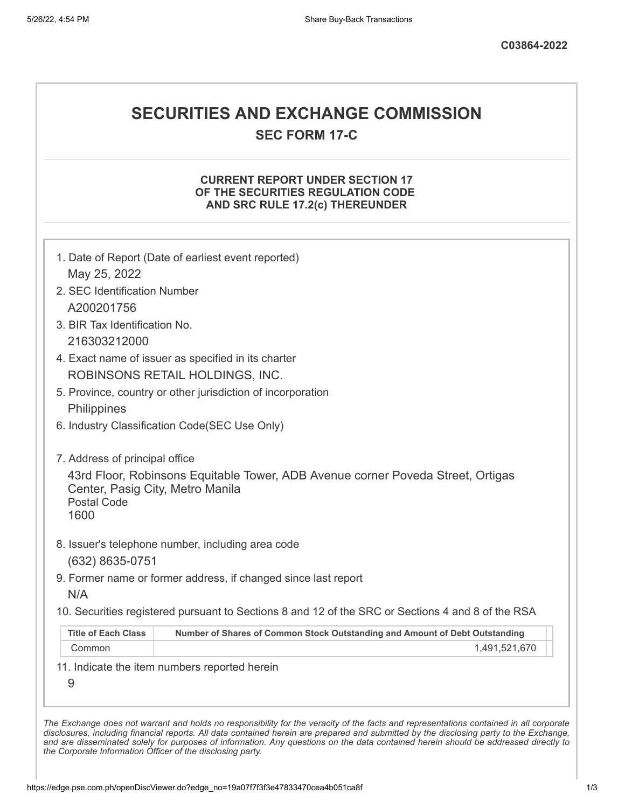# **SECURITIES AND EXCHANGE COMMISSION**

**SEC FORM 17-C**

## **CURRENT REPORT UNDER SECTION 17 OF THE SECURITIES REGULATION CODE AND SRC RULE 17.2(c) THEREUNDER**

|                                                                | 1. Date of Report (Date of earliest event reported)                                               |
|----------------------------------------------------------------|---------------------------------------------------------------------------------------------------|
| May 25, 2022                                                   |                                                                                                   |
| 2. SEC Identification Number                                   |                                                                                                   |
| A200201756                                                     |                                                                                                   |
| 3. BIR Tax Identification No.                                  |                                                                                                   |
| 216303212000                                                   |                                                                                                   |
|                                                                | 4. Exact name of issuer as specified in its charter                                               |
|                                                                | ROBINSONS RETAIL HOLDINGS, INC.                                                                   |
|                                                                | 5. Province, country or other jurisdiction of incorporation                                       |
| Philippines                                                    |                                                                                                   |
|                                                                | 6. Industry Classification Code(SEC Use Only)                                                     |
| 7. Address of principal office                                 |                                                                                                   |
| Center, Pasig City, Metro Manila<br><b>Postal Code</b><br>1600 | 43rd Floor, Robinsons Equitable Tower, ADB Avenue corner Poveda Street, Ortigas                   |
| (632) 8635-0751                                                | 8. Issuer's telephone number, including area code                                                 |
|                                                                | 9. Former name or former address, if changed since last report                                    |
|                                                                |                                                                                                   |
|                                                                |                                                                                                   |
| N/A                                                            | 10. Securities registered pursuant to Sections 8 and 12 of the SRC or Sections 4 and 8 of the RSA |
| <b>Title of Each Class</b>                                     | Number of Shares of Common Stock Outstanding and Amount of Debt Outstanding                       |
| Common                                                         | 1,491,521,670                                                                                     |
| 9                                                              | 11. Indicate the item numbers reported herein                                                     |

*the Corporate Information Officer of the disclosing party.*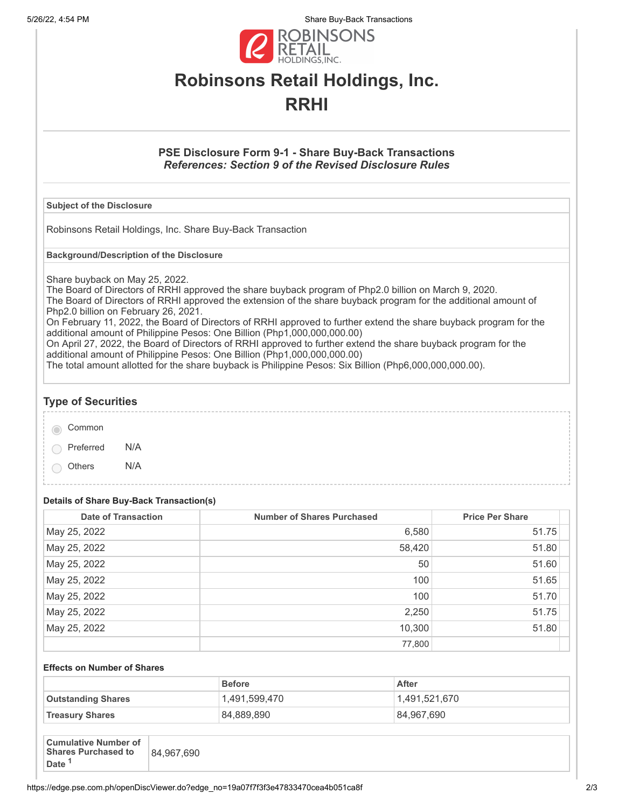5/26/22, 4:54 PM Share Buy-Back Transactions



# **Robinsons Retail Holdings, Inc. RRHI**

## **PSE Disclosure Form 9-1 - Share Buy-Back Transactions** *References: Section 9 of the Revised Disclosure Rules*

### **Subject of the Disclosure**

Robinsons Retail Holdings, Inc. Share Buy-Back Transaction

**Background/Description of the Disclosure**

Share buyback on May 25, 2022.

The Board of Directors of RRHI approved the share buyback program of Php2.0 billion on March 9, 2020. The Board of Directors of RRHI approved the extension of the share buyback program for the additional amount of Php2.0 billion on February 26, 2021.

On February 11, 2022, the Board of Directors of RRHI approved to further extend the share buyback program for the additional amount of Philippine Pesos: One Billion (Php1,000,000,000.00)

On April 27, 2022, the Board of Directors of RRHI approved to further extend the share buyback program for the additional amount of Philippine Pesos: One Billion (Php1,000,000,000.00)

The total amount allotted for the share buyback is Philippine Pesos: Six Billion (Php6,000,000,000.00).

# **Type of Securities**

| Common |
|--------|
|        |

Preferred N/A

Others N/A

### **Details of Share Buy-Back Transaction(s)**

| <b>Date of Transaction</b> | <b>Number of Shares Purchased</b> | <b>Price Per Share</b> |
|----------------------------|-----------------------------------|------------------------|
| May 25, 2022               | 6,580                             | 51.75                  |
| May 25, 2022               | 58,420                            | 51.80                  |
| May 25, 2022               | 50                                | 51.60                  |
| May 25, 2022               | 100                               | 51.65                  |
| May 25, 2022               | 100                               | 51.70                  |
| May 25, 2022               | 2,250                             | 51.75                  |
| May 25, 2022               | 10,300                            | 51.80                  |
|                            | 77,800                            |                        |

#### **Effects on Number of Shares**

|                           | <b>Before</b> | After         |
|---------------------------|---------------|---------------|
| <b>Outstanding Shares</b> | 1.491.599.470 | 1.491.521.670 |
| <b>Treasury Shares</b>    | 84,889,890    | 84,967,690    |

| <b>Cumulative Number of</b><br><b>Shares Purchased to</b><br>84,967,690<br><b>Date</b> |
|----------------------------------------------------------------------------------------|
|----------------------------------------------------------------------------------------|